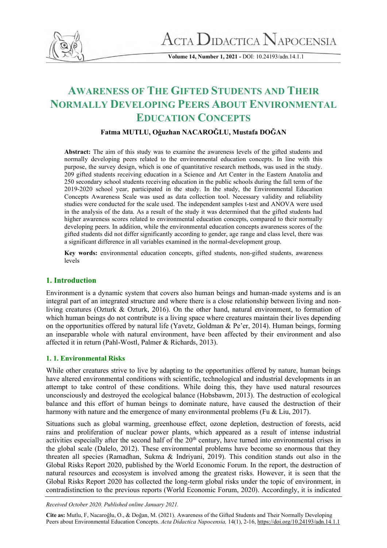

 $\Lambda$ CTA  $\rm D$ idactica  $\rm N$ apocensia

**Volume 14, Number 1, 2021 -** DOI: 10.24193/adn.14.1.1

# **AWARENESS OF THE GIFTED STUDENTS AND THEIR NORMALLY DEVELOPING PEERS ABOUT ENVIRONMENTAL EDUCATION CONCEPTS**

## **Fatma MUTLU, Oğuzhan NACAROĞLU, Mustafa DOĞAN**

**Abstract:** The aim of this study was to examine the awareness levels of the gifted students and normally developing peers related to the environmental education concepts. In line with this purpose, the survey design, which is one of quantitative research methods, was used in the study. 209 gifted students receiving education in a Science and Art Center in the Eastern Anatolia and 250 secondary school students receiving education in the public schools during the fall term of the 2019-2020 school year, participated in the study. In the study, the Environmental Education Concepts Awareness Scale was used as data collection tool. Necessary validity and reliability studies were conducted for the scale used. The independent samples t-test and ANOVA were used in the analysis of the data. As a result of the study it was determined that the gifted students had higher awareness scores related to environmental education concepts, compared to their normally developing peers. In addition, while the environmental education concepts awareness scores of the gifted students did not differ significantly according to gender, age range and class level, there was a significant difference in all variables examined in the normal-development group.

**Key words:** environmental education concepts, gifted students, non-gifted students, awareness levels

## **1. Introduction**

Environment is a dynamic system that covers also human beings and human-made systems and is an integral part of an integrated structure and where there is a close relationship between living and nonliving creatures (Ozturk & Ozturk, 2016). On the other hand, natural environment, to formation of which human beings do not contribute is a living space where creatures maintain their lives depending on the opportunities offered by natural life (Yavetz, Goldman & Pe'er, 2014). Human beings, forming an inseparable whole with natural environment, have been affected by their environment and also affected it in return (Pahl-Wostl, Palmer & Richards, 2013).

#### **1. 1. Environmental Risks**

While other creatures strive to live by adapting to the opportunities offered by nature, human beings have altered environmental conditions with scientific, technological and industrial developments in an attempt to take control of these conditions. While doing this, they have used natural resources unconsciously and destroyed the ecological balance (Hobsbawm, 2013). The destruction of ecological balance and this effort of human beings to dominate nature, have caused the destruction of their harmony with nature and the emergence of many environmental problems (Fu & Liu, 2017).

Situations such as global warming, greenhouse effect, ozone depletion, destruction of forests, acid rains and proliferation of nuclear power plants, which appeared as a result of intense industrial activities especially after the second half of the  $20<sup>th</sup>$  century, have turned into environmental crises in the global scale (Dalelo, 2012). These environmental problems have become so enormous that they threaten all species (Ramadhan, Sukma & Indriyani, 2019). This condition stands out also in the Global Risks Report 2020, published by the World Economic Forum. In the report, the destruction of natural resources and ecosystem is involved among the greatest risks. However, it is seen that the Global Risks Report 2020 has collected the long-term global risks under the topic of environment, in contradistinction to the previous reports (World Economic Forum, 2020). Accordingly, it is indicated

*Received October 2020. Published online January 2021.*

**Cite as:** Mutlu, F, Nacaroğlu, O., & Doğan, M. (2021). Awareness of the Gifted Students and Their Normally Developing Peers about Environmental Education Concepts. *Acta Didactica Napocensia,* 14(1), 2-16,<https://doi.org/10.24193/adn.14.1.1>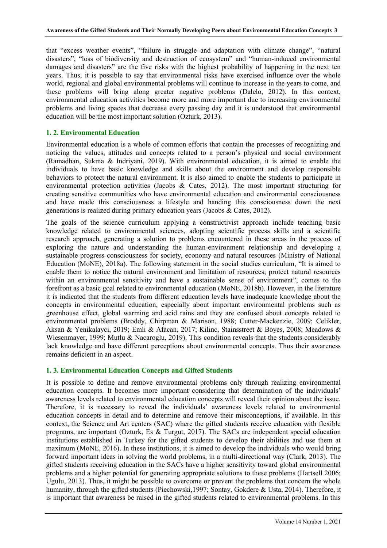that "excess weather events", "failure in struggle and adaptation with climate change", "natural disasters", "loss of biodiversity and destruction of ecosystem" and "human-induced environmental damages and disasters" are the five risks with the highest probability of happening in the next ten years. Thus, it is possible to say that environmental risks have exercised influence over the whole world, regional and global environmental problems will continue to increase in the years to come, and these problems will bring along greater negative problems (Dalelo, 2012). In this context, environmental education activities become more and more important due to increasing environmental problems and living spaces that decrease every passing day and it is understood that environmental education will be the most important solution (Ozturk, 2013).

## **1. 2. Environmental Education**

Environmental education is a whole of common efforts that contain the processes of recognizing and noticing the values, attitudes and concepts related to a person's physical and social environment (Ramadhan, Sukma & Indriyani, 2019). With environmental education, it is aimed to enable the individuals to have basic knowledge and skills about the environment and develop responsible behaviors to protect the natural environment. It is also aimed to enable the students to participate in environmental protection activities (Jacobs & Cates, 2012). The most important structuring for creating sensitive communities who have environmental education and environmental consciousness and have made this consciousness a lifestyle and handing this consciousness down the next generations is realized during primary education years (Jacobs & Cates, 2012).

The goals of the science curriculum applying a constructivist approach include teaching basic knowledge related to environmental sciences, adopting scientific process skills and a scientific research approach, generating a solution to problems encountered in these areas in the process of exploring the nature and understanding the human-environment relationship and developing a sustainable progress consciousness for society, economy and natural resources (Ministry of National Education (MoNE), 2018a). The following statement in the social studies curriculum, "It is aimed to enable them to notice the natural environment and limitation of resources; protect natural resources within an environmental sensitivity and have a sustainable sense of environment", comes to the forefront as a basic goal related to environmental education (MoNE, 2018b). However, in the literature it is indicated that the students from different education levels have inadequate knowledge about the concepts in environmental education, especially about important environmental problems such as greenhouse effect, global warming and acid rains and they are confused about concepts related to environmental problems (Broddy, Chirpman & Marison, 1988; Cutter-Mackenzie, 2009; Celikler, Aksan & Yenikalayci, 2019; Emli & Afacan, 2017; Kilinc, Stainsstreet & Boyes, 2008; Meadows & Wiesenmayer, 1999; Mutlu & Nacaroglu, 2019). This condition reveals that the students considerably lack knowledge and have different perceptions about environmental concepts. Thus their awareness remains deficient in an aspect.

#### **1. 3. Environmental Education Concepts and Gifted Students**

It is possible to define and remove environmental problems only through realizing environmental education concepts. It becomes more important considering that determination of the individuals' awareness levels related to environmental education concepts will reveal their opinion about the issue. Therefore, it is necessary to reveal the individuals' awareness levels related to environmental education concepts in detail and to determine and remove their misconceptions, if available. In this context, the Science and Art centers (SAC) where the gifted students receive education with flexible programs, are important (Ozturk, Es & Turgut, 2017). The SACs are independent special education institutions established in Turkey for the gifted students to develop their abilities and use them at maximum (MoNE, 2016). In these institutions, it is aimed to develop the individuals who would bring forward important ideas in solving the world problems, in a multi-directional way (Clark, 2013). The gifted students receiving education in the SACs have a higher sensitivity toward global environmental problems and a higher potential for generating appropriate solutions to these problems (Hartsell 2006; Ugulu, 2013). Thus, it might be possible to overcome or prevent the problems that concern the whole humanity, through the gifted students (Piechowski,1997; Sontay, Gokdere & Usta, 2014). Therefore, it is important that awareness be raised in the gifted students related to environmental problems. In this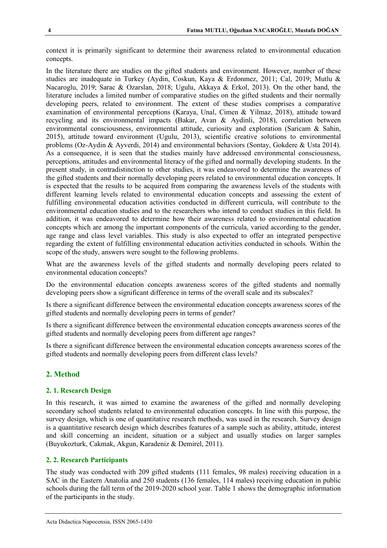context it is primarily significant to determine their awareness related to environmental education concepts.

In the literature there are studies on the gifted students and environment. However, number of these studies are inadequate in Turkey (Aydin, Coskun, Kaya & Erdonmez, 2011; Cal, 2019; Mutlu & Nacaroglu, 2019; Sarac & Ozarslan, 2018; Ugulu, Akkaya & Erkol, 2013). On the other hand, the literature includes a limited number of comparative studies on the gifted students and their normally developing peers, related to environment. The extent of these studies comprises a comparative examination of environmental perceptions (Karaya, Unal, Cimen & Yilmaz, 2018), attitude toward recycling and its environmental impacts (Bakar, Avan & Aydinli, 2018), correlation between environmental consciousness, environmental attitude, curiosity and exploration (Saricam & Sahin, 2015), attitude toward environment (Ugulu, 2013), scientific creative solutions to environmental problems (Oz-Aydin & Ayverdi, 2014) and environmental behaviors (Sontay, Gokdere & Usta 2014). As a consequence, it is seen that the studies mainly have addressed environmental consciousness, perceptions, attitudes and environmental literacy of the gifted and normally developing students. In the present study, in contradistinction to other studies, it was endeavored to determine the awareness of the gifted students and their normally developing peers related to environmental education concepts. It is expected that the results to be acquired from comparing the awareness levels of the students with different learning levels related to environmental education concepts and assessing the extent of fulfilling environmental education activities conducted in different curricula, will contribute to the environmental education studies and to the researchers who intend to conduct studies in this field. In addition, it was endeavored to determine how their awareness related to environmental education concepts which are among the important components of the curricula, varied according to the gender, age range and class level variables. This study is also expected to offer an integrated perspective regarding the extent of fulfilling environmental education activities conducted in schools. Within the scope of the study, answers were sought to the following problems.

What are the awareness levels of the gifted students and normally developing peers related to environmental education concepts?

Do the environmental education concepts awareness scores of the gifted students and normally developing peers show a significant difference in terms of the overall scale and its subscales?

Is there a significant difference between the environmental education concepts awareness scores of the gifted students and normally developing peers in terms of gender?

Is there a significant difference between the environmental education concepts awareness scores of the gifted students and normally developing peers from different age ranges?

Is there a significant difference between the environmental education concepts awareness scores of the gifted students and normally developing peers from different class levels?

## **2. Method**

## **2. 1. Research Design**

In this research, it was aimed to examine the awareness of the gifted and normally developing secondary school students related to environmental education concepts. In line with this purpose, the survey design, which is one of quantitative research methods, was used in the research. Survey design is a quantitative research design which describes features of a sample such as ability, attitude, interest and skill concerning an incident, situation or a subject and usually studies on larger samples (Buyukozturk, Cakmak, Akgun, Karadeniz & Demirel, 2011).

## **2. 2. Research Participants**

The study was conducted with 209 gifted students (111 females, 98 males) receiving education in a SAC in the Eastern Anatolia and 250 students (136 females, 114 males) receiving education in public schools during the fall term of the 2019-2020 school year. Table 1 shows the demographic information of the participants in the study.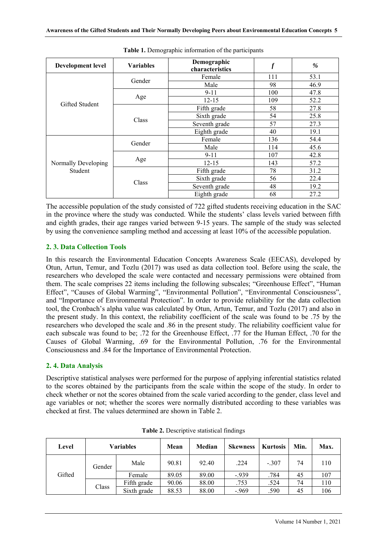| <b>Development level</b> | <b>Variables</b> | Demographic<br>characteristics |     | $\%$ |
|--------------------------|------------------|--------------------------------|-----|------|
|                          | Gender           | Female                         | 111 | 53.1 |
|                          |                  | Male                           | 98  | 46.9 |
| <b>Gifted Student</b>    |                  | $9 - 11$                       | 100 | 47.8 |
|                          | Age              | $12 - 15$                      | 109 | 52.2 |
|                          | Class            | Fifth grade                    | 58  | 27.8 |
|                          |                  | Sixth grade                    | 54  | 25.8 |
|                          |                  | Seventh grade                  | 57  | 27.3 |
|                          |                  | Eighth grade                   | 40  | 19.1 |
|                          | Gender           | Female                         | 136 | 54.4 |
|                          |                  | Male                           | 114 | 45.6 |
|                          |                  | $9 - 11$                       | 107 | 42.8 |
| Normally Developing      | Age              | $12 - 15$                      | 143 | 57.2 |
| Student                  |                  | Fifth grade                    | 78  | 31.2 |
|                          | Class            | Sixth grade                    | 56  | 22.4 |
|                          |                  | Seventh grade                  | 48  | 19.2 |
|                          |                  | Eighth grade                   | 68  | 27.2 |

**Table 1.** Demographic information of the participants

The accessible population of the study consisted of 722 gifted students receiving education in the SAC in the province where the study was conducted. While the students' class levels varied between fifth and eighth grades, their age ranges varied between 9-15 years. The sample of the study was selected by using the convenience sampling method and accessing at least 10% of the accessible population.

#### **2. 3. Data Collection Tools**

In this research the Environmental Education Concepts Awareness Scale (EECAS), developed by Otun, Artun, Temur, and Tozlu (2017) was used as data collection tool. Before using the scale, the researchers who developed the scale were contacted and necessary permissions were obtained from them. The scale comprises 22 items including the following subscales; "Greenhouse Effect", "Human Effect", "Causes of Global Warming", "Environmental Pollution", "Environmental Consciousness", and "Importance of Environmental Protection". In order to provide reliability for the data collection tool, the Cronbach's alpha value was calculated by Otun, Artun, Temur, and Tozlu (2017) and also in the present study. In this context, the reliability coefficient of the scale was found to be .75 by the researchers who developed the scale and .86 in the present study. The reliability coefficient value for each subscale was found to be; .72 for the Greenhouse Effect, .77 for the Human Effect, .70 for the Causes of Global Warming, .69 for the Environmental Pollution, .76 for the Environmental Consciousness and .84 for the Importance of Environmental Protection.

#### **2. 4. Data Analysis**

Descriptive statistical analyses were performed for the purpose of applying inferential statistics related to the scores obtained by the participants from the scale within the scope of the study. In order to check whether or not the scores obtained from the scale varied according to the gender, class level and age variables or not; whether the scores were normally distributed according to these variables was checked at first. The values determined are shown in Table 2.

| Level  |        | <b>Variables</b> | Mean  | Median | Skewness | <b>Kurtosis</b> | Min. | Max. |
|--------|--------|------------------|-------|--------|----------|-----------------|------|------|
|        | Gender | Male             | 90.81 | 92.40  | .224     | $-.307$         | 74   | 110  |
| Gifted |        | Female           | 89.05 | 89.00  | $-939$   | .784            | 45   | 107  |
|        | Class  | Fifth grade      | 90.06 | 88.00  | .753     | .524            | 74   | 110  |
|        |        | Sixth grade      | 88.53 | 88.00  | $-969$   | .590            | 45   | 106  |

**Table 2.** Descriptive statistical findings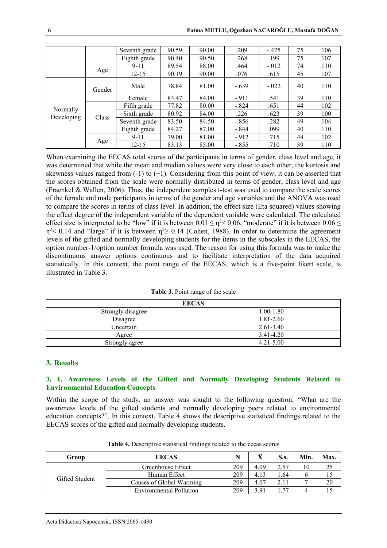|                        |        | Seventh grade | 90.59 | 90.00 | .209    | $-425$   | 75 | 106 |
|------------------------|--------|---------------|-------|-------|---------|----------|----|-----|
|                        |        | Eighth grade  | 90.40 | 90.50 | .268    | .199     | 75 | 107 |
|                        |        | $9 - 11$      | 89.54 | 88.00 | .464    | $-0.012$ | 74 | 110 |
|                        | Age    | $12 - 15$     | 90.19 | 90.00 | .076    | .615     | 45 | 107 |
|                        | Gender | Male          | 78.84 | 81.00 | $-.639$ | $-0.022$ | 40 | 110 |
|                        |        | Female        | 83.47 | 84.00 | $-911$  | .541     | 39 | 110 |
|                        |        | Fifth grade   | 77.82 | 80.00 | $-.824$ | .651     | 44 | 102 |
| Normally<br>Developing | Class  | Sixth grade   | 80.92 | 84.00 | .226    | .623     | 39 | 100 |
|                        |        | Seventh grade | 83.50 | 84.50 | $-.856$ | .282     | 49 | 104 |
|                        |        | Eighth grade  | 84.27 | 87.00 | $-.844$ | .099     | 40 | 110 |
|                        |        | $9 - 11$      | 79.00 | 81.00 | $-912$  | .715     | 44 | 102 |
|                        | Age    | $12 - 15$     | 83.13 | 85.00 | $-.855$ | .710     | 39 | 110 |

When examining the EECAS total scores of the participants in terms of gender, class level and age, it was determined that while the mean and median values were very close to each other, the kurtosis and skewness values ranged from  $(-1)$  to  $(+1)$ . Considering from this point of view, it can be asserted that the scores obtained from the scale were normally distributed in terms of gender, class level and age (Fraenkel & Wallen, 2006). Thus, the independent samples t-test was used to compare the scale scores of the female and male participants in terms of the gender and age variables and the ANOVA was used to compare the scores in terms of class level. In addition, the effect size (Eta squared) values showing the effect degree of the independent variable of the dependent variable were calculated. The calculated effect size is interpreted to be "low" if it is between  $0.01 \le \eta^2 < 0.06$ , "moderate" if it is between  $0.06 \le$  $η<sup>2</sup> < 0.14$  and "large" if it is between  $η<sup>2</sup> ≥ 0.14$  (Cohen, 1988). In order to determine the agreement levels of the gifted and normally developing students for the items in the subscales in the EECAS, the option number-1/option number formula was used. The reason for using this formula was to make the discontinuous answer options continuous and to facilitate interpretation of the data acquired statistically. In this context, the point range of the EECAS, which is a five-point likert scale, is illustrated in Table 3.

|  |  | Table 3. Point range of the scale |
|--|--|-----------------------------------|
|--|--|-----------------------------------|

| <b>EECAS</b>      |               |  |  |  |  |
|-------------------|---------------|--|--|--|--|
| Strongly disagree | $1.00 - 1.80$ |  |  |  |  |
| Disagree          | 1.81-2.60     |  |  |  |  |
| Uncertain         | $2.61 - 3.40$ |  |  |  |  |
| Agree             | 3.41-4.20     |  |  |  |  |
| Strongly agree    | $4.21 - 5.00$ |  |  |  |  |

#### **3. Results**

#### **3. 1. Awareness Levels of the Gifted and Normally Developing Students Related to Environmental Education Concepts**

Within the scope of the study, an answer was sought to the following question; "What are the awareness levels of the gifted students and normally developing peers related to environmental education concepts?". In this context, Table 4 shows the descriptive statistical findings related to the EECAS scores of the gifted and normally developing students.

| Group          | <b>EECAS</b>                   |     | ⊽    | S.s.  | Min. | Max |
|----------------|--------------------------------|-----|------|-------|------|-----|
|                | Greenhouse Effect              |     | 4.09 | 2.57  | 10   |     |
|                | Human Effect                   |     | 4.13 | . .64 | O    |     |
| Gifted Student | Causes of Global Warming       |     | 4.07 | 2.11  |      | 20  |
|                | <b>Environmental Pollution</b> | 209 | 3.91 | 77    | 4    |     |

**Table 4.** Descriptive statistical findings related to the eecas scores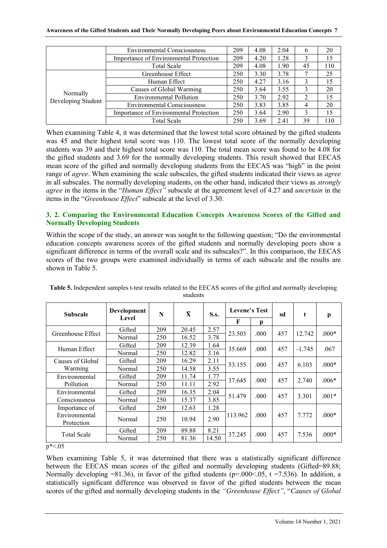|                                | <b>Environmental Consciousness</b>            | 209 | 4.08 | 2.04 | 6  | 20  |
|--------------------------------|-----------------------------------------------|-----|------|------|----|-----|
|                                | Importance of Environmental Protection        | 209 | 4.20 | 1.28 |    | 15  |
|                                | <b>Total Scale</b>                            |     | 4.08 | 1.90 | 45 | 110 |
|                                | Greenhouse Effect                             | 250 | 3.30 | 3.78 |    | 25  |
|                                | Human Effect                                  |     | 4.27 | 3.16 |    | 15  |
|                                | Causes of Global Warming                      |     | 3.64 | 3.55 |    | 20  |
| Normally<br>Developing Student | <b>Environmental Pollution</b>                |     | 3.70 | 2.92 | 2  | 15  |
|                                | <b>Environmental Consciousness</b>            | 250 | 3.83 | 3.85 | 4  | 20  |
|                                | <b>Importance of Environmental Protection</b> |     | 3.64 | 2.90 |    | 15  |
|                                | <b>Total Scale</b>                            | 250 | 3.69 | 2.41 | 39 | 110 |

When examining Table 4, it was determined that the lowest total score obtained by the gifted students was 45 and their highest total score was 110. The lowest total score of the normally developing students was 39 and their highest total score was 110. The total mean score was found to be 4.08 for the gifted students and 3.69 for the normally developing students. This result showed that EECAS mean score of the gifted and normally developing students from the EECAS was "high" in the point range of *agree*. When examining the scale subscales, the gifted students indicated their views as *agree*  in all subscales. The normally developing students, on the other hand, indicated their views as *strongly agree* in the items in the "*Human Effect"* subscale at the agreement level of 4.27 and *uncertain* in the items in the "*Greenhouse Effect*" subscale at the level of 3.30.

## **3. 2. Comparing the Environmental Education Concepts Awareness Scores of the Gifted and Normally Developing Students**

Within the scope of the study, an answer was sought to the following question; "Do the environmental education concepts awareness scores of the gifted students and normally developing peers show a significant difference in terms of the overall scale and its subscales?". In this comparison, the EECAS scores of the two groups were examined individually in terms of each subscale and the results are shown in Table 5.

| <b>Subscale</b>    | Development | $\bar{\mathbf{X}}$<br>N |       | <b>S.s.</b> | Levene's Test |              | sd  | t        | p       |
|--------------------|-------------|-------------------------|-------|-------------|---------------|--------------|-----|----------|---------|
|                    | Level       |                         |       |             | F             | $\mathbf{p}$ |     |          |         |
| Greenhouse Effect  | Gifted      | 209                     | 20.45 | 2.57        | 23.503        | .000         | 457 | 12.742   | $.000*$ |
|                    | Normal      | 250                     | 16.52 | 3.78        |               |              |     |          |         |
| Human Effect       | Gifted      | 209                     | 12.39 | 1.64        | 35.669        | .000         | 457 | $-1.745$ | .067    |
|                    | Normal      | 250                     | 12.82 | 3.16        |               |              |     |          |         |
| Causes of Global   | Gifted      | 209                     | 16.29 | 2.11        | 53.155        | .000         | 457 | 6.103    | $.000*$ |
| Warming            | Normal      | 250                     | 14.58 | 3.55        |               |              |     |          |         |
| Environmental      | Gifted      | 209                     | 11.74 | 1.77        | 37.645        | .000         | 457 | 2.740    | $.006*$ |
| Pollution          | Normal      | 250                     | 11.11 | 2.92        |               |              |     |          |         |
| Environmental      | Gifted      | 209                     | 16.35 | 2.04        | 51.479        | .000         | 457 | 3.301    | $.001*$ |
| Consciousness      | Normal      | 250                     | 15.37 | 3.85        |               |              |     |          |         |
| Importance of      | Gifted      | 209                     | 12.63 | 1.28        |               |              |     |          |         |
| Environmental      | Normal      | 250                     | 10.94 | 2.90        | 113.962       | .000         | 457 | 7.772    | $.000*$ |
| Protection         |             |                         |       |             |               |              |     |          |         |
| <b>Total Scale</b> | Gifted      | 209                     | 89.88 | 8.21        | 37.245        | .000         | 457 | 7.536    | $.000*$ |
|                    | Normal      | 250                     | 81.36 | 14.50       |               |              |     |          |         |

**Table 5.** Independent samples t-test results related to the EECAS scores of the gifted and normally developing students

 $p^* < 05$ 

When examining Table 5, it was determined that there was a statistically significant difference between the EECAS mean scores of the gifted and normally developing students (Gifted=89.88; Normally developing  $=81.36$ ), in favor of the gifted students (p=.000<.05, t =7.536). In addition, a statistically significant difference was observed in favor of the gifted students between the mean scores of the gifted and normally developing students in the *"Greenhouse Effect"*, "*Causes of Global*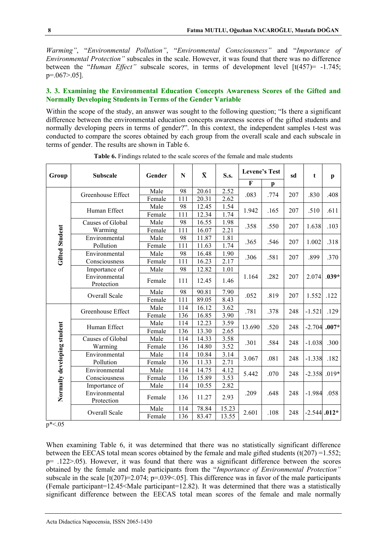*Warming"*, "*Environmental Pollution"*, "*Environmental Consciousness"* and "*Importance of Environmental Protection"* subscales in the scale. However, it was found that there was no difference between the "*Human Effect"* subscale scores, in terms of development level [t(457)= -1.745; p=.067>.05].

## **3. 3. Examining the Environmental Education Concepts Awareness Scores of the Gifted and Normally Developing Students in Terms of the Gender Variable**

Within the scope of the study, an answer was sought to the following question; "Is there a significant difference between the environmental education concepts awareness scores of the gifted students and normally developing peers in terms of gender?". In this context, the independent samples t-test was conducted to compare the scores obtained by each group from the overall scale and each subscale in terms of gender. The results are shown in Table 6.

| Group                       | <b>Subscale</b>             | Gender | N   | $\bar{\mathbf{X}}$ | S.s.  | <b>Levene's Test</b> |      | sd  | t        | $\mathbf{p}$   |
|-----------------------------|-----------------------------|--------|-----|--------------------|-------|----------------------|------|-----|----------|----------------|
|                             |                             |        |     |                    |       | F                    | p    |     |          |                |
|                             | Greenhouse Effect           | Male   | 98  | 20.61              | 2.52  | .083                 | .774 | 207 | .830     | .408           |
|                             |                             | Female | 111 | 20.31              | 2.62  |                      |      |     |          |                |
|                             | Human Effect                | Male   | 98  | 12.45              | 1.54  | 1.942                | .165 | 207 | .510     | .611           |
|                             |                             | Female | 111 | 12.34              | 1.74  |                      |      |     |          |                |
|                             | Causes of Global            | Male   | 98  | 16.55              | 1.98  | .358                 | .550 | 207 | 1.638    | .103           |
| <b>Gifted Student</b>       | Warming                     | Female | 111 | 16.07              | 2.21  |                      |      |     |          |                |
|                             | Environmental               | Male   | 98  | 11.87              | 1.81  | .365                 | .546 | 207 | 1.002    | .318           |
|                             | Pollution                   | Female | 111 | 11.63              | 1.74  |                      |      |     |          |                |
|                             | Environmental               | Male   | 98  | 16.48              | 1.90  | .306                 | .581 | 207 | .899     | .370           |
|                             | Consciousness               | Female | 111 | 16.23              | 2.17  |                      |      |     |          |                |
|                             | Importance of               | Male   | 98  | 12.82              | 1.01  |                      |      | 207 |          |                |
|                             | Environmental<br>Protection | Female | 111 | 12.45              | 1.46  | 1.164                | .282 |     | 2.074    | $.039*$        |
|                             | Overall Scale               | Male   | 98  | 90.81              | 7.90  | .052                 | .819 | 207 | 1.552    | .122           |
|                             |                             | Female | 111 | 89.05              | 8.43  |                      |      |     |          |                |
|                             | Greenhouse Effect           | Male   | 114 | 16.12              | 3.62  | .781                 | .378 | 248 | $-1.521$ | .129           |
|                             |                             | Female | 136 | 16.85              | 3.90  |                      |      |     |          |                |
|                             | Human Effect                | Male   | 114 | 12.23              | 3.59  | 13.690               | .520 | 248 | $-2.704$ | $.007*$        |
|                             |                             | Female | 136 | 13.30              | 2.65  |                      |      |     |          |                |
|                             | Causes of Global            | Male   | 114 | 14.33              | 3.58  | .301                 | .584 | 248 | $-1.038$ | .300           |
|                             | Warming                     | Female | 136 | 14.80              | 3.52  |                      |      |     |          |                |
|                             | Environmental               | Male   | 114 | 10.84              | 3.14  | 3.067                | .081 | 248 | $-1.338$ | .182           |
|                             | Pollution                   | Female | 136 | 11.33              | 2.71  |                      |      |     |          |                |
|                             | Environmental               | Male   | 114 | 14.75              | 4.12  | 5.442                | .070 | 248 | $-2.358$ | $.019*$        |
|                             | Consciousness               | Female | 136 | 15.89              | 3.53  |                      |      |     |          |                |
|                             | Importance of               | Male   | 114 | 10.55              | 2.82  |                      |      |     |          | .058           |
| Normally developing student | Environmental<br>Protection | Female | 136 | 11.27              | 2.93  | .209                 | .648 | 248 | $-1.984$ |                |
|                             | Overall Scale               | Male   | 114 | 78.84              | 15.23 | 2.601                | .108 |     |          | $-2.544$ .012* |
|                             |                             | Female | 136 | 83.47              | 13.55 |                      |      | 248 |          |                |

**Table 6.** Findings related to the scale scores of the female and male students

 $p^* < 05$ 

When examining Table 6, it was determined that there was no statistically significant difference between the EECAS total mean scores obtained by the female and male gifted students  $(t(207) = 1.552$ ; p= .122>.05). However, it was found that there was a significant difference between the scores obtained by the female and male participants from the "*Importance of Environmental Protection"*  subscale in the scale  $[t(207)=2.074; p=.039<.05]$ . This difference was in favor of the male participants (Female participant=12.45<Male participant=12.82). It was determined that there was a statistically significant difference between the EECAS total mean scores of the female and male normally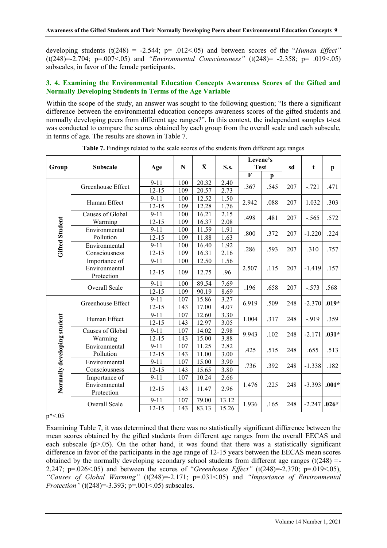developing students (t(248) = -2.544; p= .012<.05) and between scores of the "*Human Effect"*  (t(248)=-2.704; p=.007<.05) and *"Environmental Consciousness"* (t(248)= -2.358; p= .019<.05) subscales, in favor of the female participants.

## **3. 4. Examining the Environmental Education Concepts Awareness Scores of the Gifted and Normally Developing Students in Terms of the Age Variable**

Within the scope of the study, an answer was sought to the following question; "Is there a significant difference between the environmental education concepts awareness scores of the gifted students and normally developing peers from different age ranges?". In this context, the independent samples t-test was conducted to compare the scores obtained by each group from the overall scale and each subscale, in terms of age. The results are shown in Table 7.

| Group                       | <b>Subscale</b><br>Greenhouse Effect | Age<br>$9 - 11$<br>$12 - 15$ | N<br>100   | $\bar{\mathbf{X}}$ | S.s.           | <b>Test</b> |              |         |          |              |
|-----------------------------|--------------------------------------|------------------------------|------------|--------------------|----------------|-------------|--------------|---------|----------|--------------|
|                             |                                      |                              |            |                    |                |             |              | sd<br>t |          | $\mathbf{p}$ |
|                             |                                      |                              |            |                    |                | $\mathbf F$ | $\mathbf{p}$ |         |          |              |
|                             |                                      |                              |            | 20.32              | 2.40           | .367        | .545         | 207     | $-.721$  | .471         |
|                             |                                      |                              | 109        | 20.57              | 2.73           |             |              |         |          |              |
|                             | Human Effect                         | $9 - 11$                     | 100        | 12.52              | 1.50           | 2.942       | .088         | 207     | 1.032    | .303         |
|                             |                                      | $12 - 15$                    | 109        | 12.28              | 1.76           |             |              |         |          |              |
|                             | Causes of Global                     | $9 - 11$                     | 100        | 16.21              | 2.15           | .498        | .481         | 207     | $-.565$  | .572         |
| Gifted Student              | Warming                              | $12 - 15$                    | 109        | 16.37              | 2.08           |             |              |         |          |              |
|                             | Environmental                        | $9 - 11$                     | 100        | 11.59              | 1.91           | .800        | .372         | 207     | $-1.220$ | .224         |
|                             | Pollution                            | $12 - 15$                    | 109        | 11.88              | 1.63           |             |              |         |          |              |
|                             | Environmental                        | $9 - 11$                     | 100        | 16.40              | 1.92           | .286        | .593         | 207     | .310     | .757         |
|                             | Consciousness                        | $12 - 15$                    | 109        | 16.31              | 2.16           |             |              |         |          |              |
|                             | Importance of                        | $9 - 11$                     | 100        | 12.50              | 1.56           |             |              |         | $-1.419$ |              |
|                             | Environmental<br>Protection          | $12 - 15$                    | 109        | 12.75              | .96            | 2.507       | .115         | 207     |          | .157         |
|                             | Overall Scale                        | $9 - 11$                     | 100        | 89.54              | 7.69           | .196        | .658         | 207     | $-.573$  | .568         |
|                             |                                      | $12 - 15$                    | 109        | 90.19              | 8.69           |             |              |         |          |              |
|                             | Greenhouse Effect                    | $9 - 11$                     | 107        | 15.86              | 3.27           | 6.919       | .509         | 248     | $-2.370$ | $.019*$      |
|                             |                                      | $12 - 15$                    | 143        | 17.00              | 4.07           |             |              |         |          |              |
|                             | Human Effect                         | $9 - 11$                     | 107        | 12.60              | 3.30           | 1.004       | .317         | 248     | $-.919$  | .359         |
|                             |                                      | $12 - 15$                    | 143        | 12.97              | 3.05           |             |              |         |          |              |
|                             | Causes of Global                     | $9 - 11$                     | 107        | 14.02              | 2.98           | 9.943       | .102         | 248     | $-2.171$ | $.031*$      |
|                             | Warming                              | $12 - 15$                    | 143        | 15.00              | 3.88           |             |              |         |          |              |
|                             | Environmental                        | $9 - 11$                     | 107        | 11.25              | 2.82           | .425        | .515         | 248     | .655     | .513         |
|                             | Pollution                            | $12 - 15$                    | 143        | 11.00              | 3.00           |             |              |         |          |              |
|                             | Environmental                        | $9 - 11$                     | 107        | 15.00              | 3.90           | .736        | .392         | 248     | $-1.338$ | .182         |
|                             | Consciousness                        | $12 - 15$                    | 143        | 15.65              | 3.80           |             |              |         |          |              |
|                             | Importance of                        | $9 - 11$                     | 107        | 10.24              | 2.66           |             |              |         |          |              |
| Normally developing student | Environmental<br>Protection          | $12 - 15$                    | 143        | 11.47              | 2.96           | 1.476       | .225         | 248     | $-3.393$ | $.001*$      |
|                             | Overall Scale                        | $9 - 11$<br>$12 - 15$        | 107<br>143 | 79.00<br>83.13     | 13.12<br>15.26 | 1.936       | .165         | 248     | $-2.247$ | $.026*$      |

**Table 7.** Findings related to the scale scores of the students from different age ranges

 $p^* < 05$ 

Examining Table 7, it was determined that there was no statistically significant difference between the mean scores obtained by the gifted students from different age ranges from the overall EECAS and each subscale  $(p>0.05)$ . On the other hand, it was found that there was a statistically significant difference in favor of the participants in the age range of 12-15 years between the EECAS mean scores obtained by the normally developing secondary school students from different age ranges ( $t(248)$  =-2.247; p=.026<.05) and between the scores of "*Greenhouse Effect"* (t(248)=-2.370; p=.019<.05), *"Causes of Global Warming"* (t(248)=-2.171; p=.031<.05) and *"Importance of Environmental Protection"* (t(248)=-3.393; p=.001<.05) subscales.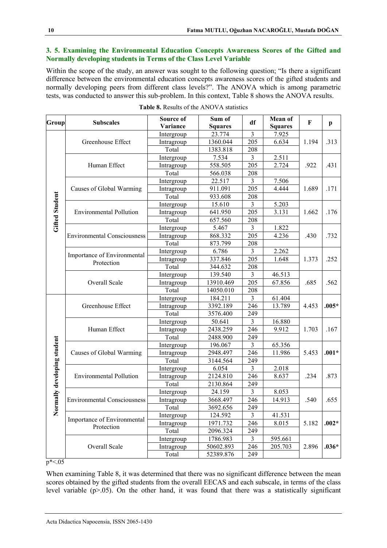### **3. 5. Examining the Environmental Education Concepts Awareness Scores of the Gifted and Normally developing students in Terms of the Class Level Variable**

Within the scope of the study, an answer was sought to the following question; "Is there a significant difference between the environmental education concepts awareness scores of the gifted students and normally developing peers from different class levels?". The ANOVA which is among parametric tests, was conducted to answer this sub-problem. In this context, Table 8 shows the ANOVA results.

| Group                     | <b>Subscales</b>                   | Source of  | Sum of         | df             | Mean of        | F     |              |
|---------------------------|------------------------------------|------------|----------------|----------------|----------------|-------|--------------|
|                           |                                    | Variance   | <b>Squares</b> |                | <b>Squares</b> |       | $\mathbf{p}$ |
|                           |                                    | Intergroup | 23.774         | $\overline{3}$ | 7.925          |       |              |
|                           | Greenhouse Effect                  | Intragroup | 1360.044       | 205            | 6.634          | 1.194 | .313         |
|                           |                                    | Total      | 1383.818       | 208            |                |       |              |
|                           |                                    | Intergroup | 7.534          | $\overline{3}$ | 2.511          |       |              |
|                           | Human Effect                       | Intragroup | 558.505        | 205            | 2.724          | .922  | .431         |
|                           |                                    | Total      | 566.038        | 208            |                |       |              |
|                           |                                    | Intergroup | 22.517         | $\overline{3}$ | 7.506          |       |              |
|                           | Causes of Global Warming           | Intragroup | 911.091        | 205            | 4.444          | 1.689 | .171         |
|                           |                                    | Total      | 933.608        | 208            |                |       |              |
|                           |                                    | Intergroup | 15.610         | $\overline{3}$ | 5.203          |       |              |
| <b>Gifted Student</b>     | <b>Environmental Pollution</b>     | Intragroup | 641.950        | 205            | 3.131          | 1.662 | .176         |
|                           |                                    | Total      | 657.560        | 208            |                |       |              |
|                           |                                    | Intergroup | 5.467          | $\overline{3}$ | 1.822          |       |              |
|                           | <b>Environmental Consciousness</b> | Intragroup | 868.332        | 205            | 4.236          | .430  | .732         |
|                           |                                    | Total      | 873.799        | 208            |                |       |              |
|                           |                                    | Intergroup | 6.786          | $\overline{3}$ | 2.262          |       |              |
|                           | Importance of Environmental        | Intragroup | 337.846        | 205            | 1.648          | 1.373 | .252         |
|                           | Protection                         | Total      | 344.632        | 208            |                |       |              |
|                           |                                    | Intergroup | 139.540        | $\overline{3}$ | 46.513         |       |              |
|                           | Overall Scale                      | Intragroup | 13910.469      | 205            | 67.856         | .685  | .562         |
|                           |                                    | Total      | 14050.010      | 208            |                |       |              |
|                           |                                    | Intergroup | 184.211        | $\overline{3}$ | 61.404         |       |              |
|                           | Greenhouse Effect                  | Intragroup | 3392.189       | 246            | 13.789         | 4.453 | $.005*$      |
|                           |                                    | Total      | 3576.400       | 249            |                |       |              |
|                           |                                    | Intergroup | 50.641         | $\overline{3}$ | 16.880         |       |              |
|                           | Human Effect                       | Intragroup | 2438.259       | 246            | 9.912          | 1.703 | .167         |
|                           |                                    | Total      | 2488.900       | 249            |                |       |              |
| rmally developing student |                                    | Intergroup | 196.067        | $\overline{3}$ | 65.356         |       |              |
|                           | Causes of Global Warming           | Intragroup | 2948.497       | 246            | 11.986         | 5.453 | $.001*$      |
|                           |                                    | Total      | 3144.564       | 249            |                |       |              |
|                           |                                    | Intergroup | 6.054          | 3              | 2.018          |       |              |
|                           | <b>Environmental Pollution</b>     | Intragroup | 2124.810       | 246            | 8.637          | .234  | .873         |
|                           |                                    | Total      | 2130.864       | 249            |                |       |              |
|                           |                                    | Intergroup | 24.159         | $\overline{3}$ | 8.053          |       |              |
|                           | <b>Environmental Consciousness</b> | Intragroup | 3668.497       | 246            | 14.913         | .540  | .655         |
|                           |                                    | Total      | 3692.656       | 249            |                |       |              |
| $\bar{\mathbf{z}}$        |                                    | Intergroup | 124.592        | 3              | 41.531         |       |              |
|                           | Importance of Environmental        | Intragroup | 1971.732       | 246            | 8.015          | 5.182 | $.002*$      |
|                           | Protection                         | Total      | 2096.324       | 249            |                |       |              |
|                           |                                    | Intergroup | 1786.983       | 3              | 595.661        |       |              |
|                           | Overall Scale                      | Intragroup | 50602.893      | 246            | 205.703        | 2.896 | $.036*$      |
|                           |                                    | Total      | 52389.876      | 249            |                |       |              |

|  |  |  | <b>Table 8.</b> Results of the ANOVA statistics |  |
|--|--|--|-------------------------------------------------|--|
|--|--|--|-------------------------------------------------|--|

 $p^* < 05$ 

When examining Table 8, it was determined that there was no significant difference between the mean scores obtained by the gifted students from the overall EECAS and each subscale, in terms of the class level variable  $(p>0.05)$ . On the other hand, it was found that there was a statistically significant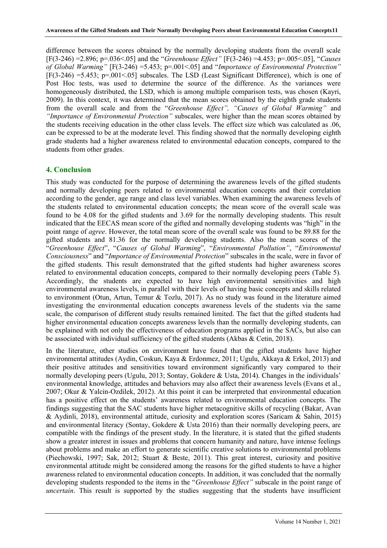difference between the scores obtained by the normally developing students from the overall scale [F(3-246) =2.896; p=.036<.05] and the "*Greenhouse Effect"* [F(3-246) =4.453; p=.005<.05], "*Causes of Global Warming"* [F(3-246) =5.453; p=.001<.05] and "*Importance of Environmental Protection"* [F(3-246) =5.453; p=.001<.05] subscales. The LSD (Least Significant Difference), which is one of Post Hoc tests, was used to determine the source of the difference. As the variances were homogeneously distributed, the LSD, which is among multiple comparison tests, was chosen (Kayri, 2009). In this context, it was determined that the mean scores obtained by the eighth grade students from the overall scale and from the "*Greenhouse Effect", "Causes of Global Warming"* and *"Importance of Environmental Protection"* subscales, were higher than the mean scores obtained by the students receiving education in the other class levels. The effect size which was calculated as .06, can be expressed to be at the moderate level. This finding showed that the normally developing eighth grade students had a higher awareness related to environmental education concepts, compared to the students from other grades.

## **4. Conclusion**

This study was conducted for the purpose of determining the awareness levels of the gifted students and normally developing peers related to environmental education concepts and their correlation according to the gender, age range and class level variables. When examining the awareness levels of the students related to environmental education concepts; the mean score of the overall scale was found to be 4.08 for the gifted students and 3.69 for the normally developing students. This result indicated that the EECAS mean score of the gifted and normally developing students was "high" in the point range of *agree*. However, the total mean score of the overall scale was found to be 89.88 for the gifted students and 81.36 for the normally developing students. Also the mean scores of the "*Greenhouse Effect*", "*Causes of Global Warming*", "*Environmental Pollution"*, "*Environmental Consciousness*" and "*Importance of Environmental Protection*" subscales in the scale, were in favor of the gifted students. This result demonstrated that the gifted students had higher awareness scores related to environmental education concepts, compared to their normally developing peers (Table 5). Accordingly, the students are expected to have high environmental sensitivities and high environmental awareness levels, in parallel with their levels of having basic concepts and skills related to environment (Otun, Artun, Temur & Tozlu, 2017). As no study was found in the literature aimed investigating the environmental education concepts awareness levels of the students via the same scale, the comparison of different study results remained limited. The fact that the gifted students had higher environmental education concepts awareness levels than the normally developing students, can be explained with not only the effectiveness of education programs applied in the SACs, but also can be associated with individual sufficiency of the gifted students (Akbas & Cetin, 2018).

In the literature, other studies on environment have found that the gifted students have higher environmental attitudes (Aydin, Coskun, Kaya & Erdonmez, 2011; Ugulu, Akkaya & Erkol, 2013) and their positive attitudes and sensitivities toward environment significantly vary compared to their normally developing peers (Ugulu, 2013; Sontay, Gokdere & Usta, 2014). Changes in the individuals' environmental knowledge, attitudes and behaviors may also affect their awareness levels (Evans et al., 2007; Okur & Yalcin-Ozdilek, 2012). At this point it can be interpreted that environmental education has a positive effect on the students' awareness related to environmental education concepts. The findings suggesting that the SAC students have higher metacognitive skills of recycling (Bakar, Avan & Aydinli, 2018), environmental attitude, curiosity and exploration scores (Saricam & Sahin, 2015) and environmental literacy (Sontay, Gokdere & Usta 2016) than their normally developing peers, are compatible with the findings of the present study. In the literature, it is stated that the gifted students show a greater interest in issues and problems that concern humanity and nature, have intense feelings about problems and make an effort to generate scientific creative solutions to environmental problems (Piechowski, 1997; Sak, 2012; Stuart & Beste, 2011). This great interest, curiosity and positive environmental attitude might be considered among the reasons for the gifted students to have a higher awareness related to environmental education concepts. In addition, it was concluded that the normally developing students responded to the items in the "*Greenhouse Effect"* subscale in the point range of *uncertain*. This result is supported by the studies suggesting that the students have insufficient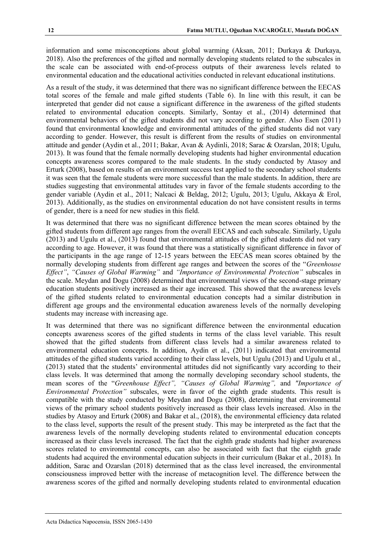information and some misconceptions about global warming (Aksan, 2011; Durkaya & Durkaya, 2018). Also the preferences of the gifted and normally developing students related to the subscales in the scale can be associated with end-of-process outputs of their awareness levels related to environmental education and the educational activities conducted in relevant educational institutions.

As a result of the study, it was determined that there was no significant difference between the EECAS total scores of the female and male gifted students (Table 6). In line with this result, it can be interpreted that gender did not cause a significant difference in the awareness of the gifted students related to environmental education concepts. Similarly, Sontay et al., (2014) determined that environmental behaviors of the gifted students did not vary according to gender. Also Esen (2011) found that environmental knowledge and environmental attitudes of the gifted students did not vary according to gender. However, this result is different from the results of studies on environmental attitude and gender (Aydin et al., 2011; Bakar, Avan & Aydinli, 2018; Sarac & Ozarslan, 2018; Ugulu, 2013). It was found that the female normally developing students had higher environmental education concepts awareness scores compared to the male students. In the study conducted by Atasoy and Erturk (2008), based on results of an environment success test applied to the secondary school students it was seen that the female students were more successful than the male students. In addition, there are studies suggesting that environmental attitudes vary in favor of the female students according to the gender variable (Aydin et al., 2011; Nalcaci & Beldag, 2012; Ugulu, 2013; Ugulu, Akkaya & Erol, 2013). Additionally, as the studies on environmental education do not have consistent results in terms of gender, there is a need for new studies in this field.

It was determined that there was no significant difference between the mean scores obtained by the gifted students from different age ranges from the overall EECAS and each subscale. Similarly, Ugulu (2013) and Ugulu et al., (2013) found that environmental attitudes of the gifted students did not vary according to age. However, it was found that there was a statistically significant difference in favor of the participants in the age range of 12-15 years between the EECAS mean scores obtained by the normally developing students from different age ranges and between the scores of the "*Greenhouse Effect"*, *"Causes of Global Warming"* and *"Importance of Environmental Protection"* subscales in the scale. Meydan and Dogu (2008) determined that environmental views of the second-stage primary education students positively increased as their age increased. This showed that the awareness levels of the gifted students related to environmental education concepts had a similar distribution in different age groups and the environmental education awareness levels of the normally developing students may increase with increasing age.

It was determined that there was no significant difference between the environmental education concepts awareness scores of the gifted students in terms of the class level variable. This result showed that the gifted students from different class levels had a similar awareness related to environmental education concepts. In addition, Aydin et al., (2011) indicated that environmental attitudes of the gifted students varied according to their class levels, but Ugulu (2013) and Ugulu et al., (2013) stated that the students' environmental attitudes did not significantly vary according to their class levels. It was determined that among the normally developing secondary school students, the mean scores of the "*Greenhouse Effect", "Causes of Global Warming",* and *"Importance of Environmental Protection"* subscales, were in favor of the eighth grade students. This result is compatible with the study conducted by Meydan and Dogu (2008), determining that environmental views of the primary school students positively increased as their class levels increased. Also in the studies by Atasoy and Erturk (2008) and Bakar et al., (2018), the environmental efficiency data related to the class level, supports the result of the present study. This may be interpreted as the fact that the awareness levels of the normally developing students related to environmental education concepts increased as their class levels increased. The fact that the eighth grade students had higher awareness scores related to environmental concepts, can also be associated with fact that the eighth grade students had acquired the environmental education subjects in their curriculum (Bakar et al., 2018). In addition, Sarac and Ozarslan (2018) determined that as the class level increased, the environmental consciousness improved better with the increase of metacognition level. The difference between the awareness scores of the gifted and normally developing students related to environmental education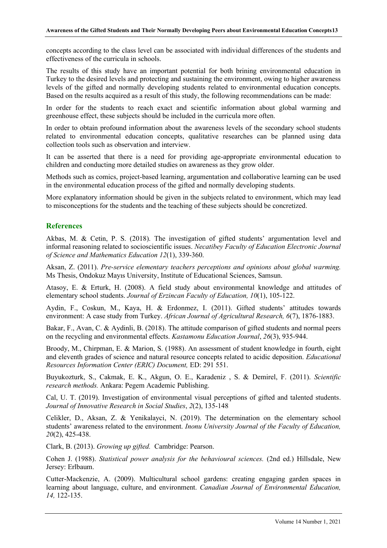concepts according to the class level can be associated with individual differences of the students and effectiveness of the curricula in schools.

The results of this study have an important potential for both brining environmental education in Turkey to the desired levels and protecting and sustaining the environment, owing to higher awareness levels of the gifted and normally developing students related to environmental education concepts. Based on the results acquired as a result of this study, the following recommendations can be made:

In order for the students to reach exact and scientific information about global warming and greenhouse effect, these subjects should be included in the curricula more often.

In order to obtain profound information about the awareness levels of the secondary school students related to environmental education concepts, qualitative researches can be planned using data collection tools such as observation and interview.

It can be asserted that there is a need for providing age-appropriate environmental education to children and conducting more detailed studies on awareness as they grow older.

Methods such as comics, project-based learning, argumentation and collaborative learning can be used in the environmental education process of the gifted and normally developing students.

More explanatory information should be given in the subjects related to environment, which may lead to misconceptions for the students and the teaching of these subjects should be concretized.

## **References**

Akbas, M. & Cetin, P. S. (2018). The investigation of gifted students' argumentation level and informal reasoning related to socioscientific issues. *Necatibey Faculty of Education Electronic Journal of Science and Mathematics Education 12*(1), 339-360.

Aksan, Z. (2011). *Pre-service elementary teachers perceptions and opinions about global warming.*  Ms Thesis, Ondokuz Mayıs University, Institute of Educational Sciences, Samsun.

Atasoy, E. & Erturk, H. (2008). A field study about environmental knowledge and attitudes of elementary school students. *Journal of Erzincan Faculty of Education, 10*(1), 105-122.

Aydin, F., Coskun, M., Kaya, H. & Erdonmez, I. (2011). Gifted students' attitudes towards environment: A case study from Turkey. *African Journal of Agricultural Research, 6*(7), 1876-1883.

Bakar, F., Avan, C. & Aydinli, B. (2018). The attitude comparison of gifted students and normal peers on the recycling and environmental effects. *Kastamonu Education Journal*, *26*(3), 935-944.

Broody, M., Chirpman, E. & Marion, S. (1988). An assessment of student knowledge in fourth, eight and eleventh grades of science and natural resource concepts related to acidic deposition. *Educational Resources Information Center (ERIC) Document,* ED: 291 551.

Buyukozturk, S., Cakmak, E. K., Akgun, O. E., Karadeniz , S. & Demirel, F. (2011). *Scientific research methods.* Ankara: Pegem Academic Publishing.

Cal, U. T. (2019). Investigation of environmental visual perceptions of gifted and talented students. *Journal of Innovative Research in Social Studies*, *2*(2), 135-148

Celikler, D., Aksan, Z. & Yenikalayci, N. (2019). The determination on the elementary school students' awareness related to the environment. *Inonu University Journal of the Faculty of Education, 20*(2), 425-438.

Clark, B. (2013). *Growing up gifted.* Cambridge: Pearson.

Cohen J. (1988). *Statistical power analysis for the behavioural sciences.* (2nd ed.) Hillsdale, New Jersey: Erlbaum.

Cutter-Mackenzie, A. (2009). Multicultural school gardens: creating engaging garden spaces in learning about language, culture, and environment. *Canadian Journal of Environmental Education, 14,* 122-135.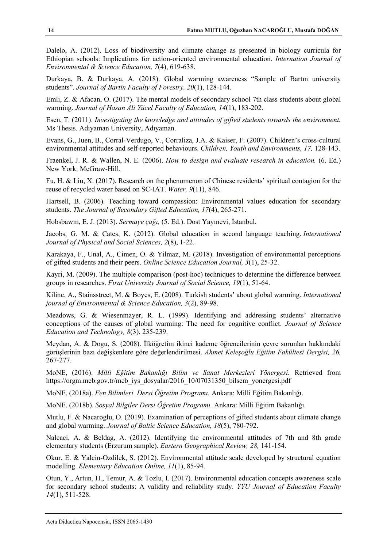Dalelo, A. (2012). Loss of biodiversity and climate change as presented in biology curricula for Ethiopian schools: Implications for action-oriented environmental education. *Internation Journal of Environmental & Science Education, 7*(4), 619-638.

Durkaya, B. & Durkaya, A. (2018). Global warming awareness "Sample of Bartın university students". *Journal of Bartin Faculty of Forestry, 20*(1), 128-144.

Emli, Z. & Afacan, O. (2017). The mental models of secondary school 7th class students about global warming. *Journal of Hasan Ali Yücel Faculty of Education, 14*(1), 183-202.

Esen, T. (2011). *Investigating the knowledge and attitudes of gifted students towards the environment.* Ms Thesis. Adıyaman University, Adıyaman.

Evans, G., Juen, B., Corral-Verdugo, V., Corraliza, J.A. & Kaiser, F. (2007). Children's cross-cultural environmental attitudes and self-reported behaviours. *Children, Youth and Environments, 17,* 128-143.

Fraenkel, J. R. & Wallen, N. E. (2006). *How to design and evaluate research in education.* (6. Ed.) New York: McGraw-Hill.

Fu, H. & Liu, X. (2017). Research on the phenomenon of Chinese residents' spiritual contagion for the reuse of recycled water based on SC-IAT. *Water, 9*(11), 846.

Hartsell, B. (2006). Teaching toward compassion: Environmental values education for secondary students. *The Journal of Secondary Gifted Education, 17*(4), 265-271.

Hobsbawm, E. J. (2013). *Sermaye çağı,* (5. Ed.). Dost Yayınevi, İstanbul.

Jacobs, G. M. & Cates, K. (2012). Global education in second language teaching. *International Journal of Physical and Social Sciences, 2*(8), 1-22.

Karakaya, F., Unal, A., Cimen, O. & Yilmaz, M. (2018). Investigation of environmental perceptions of gifted students and their peers. *Online Science Education Journal, 3*(1), 25-32.

Kayri, M. (2009). The multiple comparison (post-hoc) techniques to determine the difference between groups in researches. *Fırat University Journal of Social Science, 19*(1), 51-64.

Kilinc, A., Stainsstreet, M. & Boyes, E. (2008). Turkish students' about global warming. *International journal of Environmental & Science Education, 3*(2), 89-98.

Meadows, G. & Wiesenmayer, R. L. (1999). Identifying and addressing students' alternative conceptions of the causes of global warming: The need for cognitive conflict. *Journal of Science Education and Technology, 8*(3), 235-239.

Meydan, A. & Dogu, S. (2008). İlköğretim ikinci kademe öğrencilerinin çevre sorunları hakkındaki görüşlerinin bazı değişkenlere göre değerlendirilmesi. *Ahmet Keleşoğlu Eğitim Fakültesi Dergisi, 26,* 267-277.

MoNE, (2016). *Milli Eğitim Bakanlığı Bilim ve Sanat Merkezleri Yönergesi.* Retrieved from https://orgm.meb.gov.tr/meb\_iys\_dosyalar/2016\_10/07031350\_bilsem\_yonergesi.pdf

MoNE, (2018a). *Fen Bilimleri Dersi Öğretim Programı.* Ankara: Milli Eğitim Bakanlığı.

MoNE. (2018b). *Sosyal Bilgiler Dersi Öğretim Programı.* Ankara: Milli Eğitim Bakanlığı.

Mutlu, F. & Nacaroglu, O. (2019). Examination of perceptions of gifted students about climate change and global warming. *Journal of Baltic Science Education, 18*(5), 780-792.

Nalcaci, A. & Beldag, A. (2012). Identifying the environmental attitudes of 7th and 8th grade elementary students (Erzurum sample). *Eastern Geographical Review, 28,* 141-154.

Okur, E. & Yalcin-Ozdilek, S. (2012). Environmental attitude scale developed by structural equation modelling. *Elementary Education Online, 11*(1), 85-94.

Otun, Y., Artun, H., Temur, A. & Tozlu, I. (2017). Environmental education concepts awareness scale for secondary school students: A validity and reliability study. *YYU Journal of Education Faculty 14*(1), 511-528.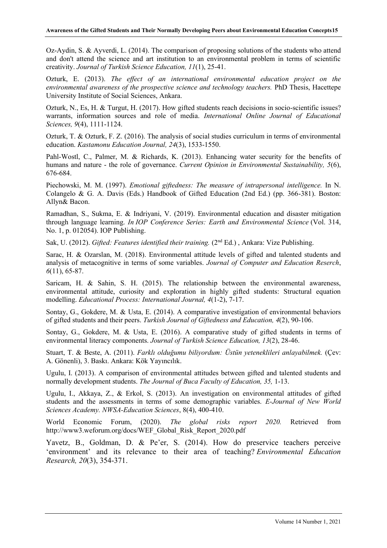Oz-Aydin, S. & Ayverdi, L. (2014). The comparison of proposing solutions of the students who attend and don't attend the science and art institution to an environmental problem in terms of scientific creativity. *Journal of Turkish Science Education, 11*(1), 25-41.

Ozturk, E. (2013). *The effect of an international environmental education project on the environmental awareness of the prospective science and technology teachers.* PhD Thesis, Hacettepe University Institute of Social Sciences, Ankara.

Ozturk, N., Es, H. & Turgut, H. (2017). How gifted students reach decisions in socio-scientific issues? warrants, information sources and role of media. *International Online Journal of Educational Sciences, 9*(4), 1111-1124.

Ozturk, T. & Ozturk, F. Z. (2016). The analysis of social studies curriculum in terms of environmental education. *Kastamonu Education Journal, 24*(3), 1533-1550.

Pahl-Wostl, C., Palmer, M. & Richards, K. (2013). Enhancing water security for the benefits of humans and nature - the role of governance. *Current Opinion in Environmental Sustainability, 5*(6), 676-684.

Piechowski, M. M. (1997). *Emotional giftedness: The measure of intrapersonal intelligence.* In N. Colangelo & G. A. Davis (Eds.) Handbook of Gifted Education (2nd Ed.) (pp. 366-381). Boston: Allyn& Bacon.

Ramadhan, S., Sukma, E. & Indriyani, V. (2019). Environmental education and disaster mitigation through language learning. *In IOP Conference Series: Earth and Environmental Science* (Vol. 314, No. 1, p. 012054). IOP Publishing.

Sak, U. (2012). *Gifted: Features identified their training.* (2nd Ed.) , Ankara: Vize Publishing.

Sarac, H. & Ozarslan, M. (2018). Environmental attitude levels of gifted and talented students and analysis of metacognitive in terms of some variables. *Journal of Computer and Education Reserch*, *6*(11), 65-87.

Saricam, H. & Sahin, S. H. (2015). The relationship between the environmental awareness, environmental attitude, curiosity and exploration in highly gifted students: Structural equation modelling. *Educational Process: International Journal, 4*(1-2), 7-17.

Sontay, G., Gokdere, M. & Usta, E. (2014). A comparative investigation of environmental behaviors of gifted students and their peers. *Turkish Journal of Giftedness and Education, 4*(2), 90-106.

Sontay, G., Gokdere, M. & Usta, E. (2016). A comparative study of gifted students in terms of environmental literacy components. *Journal of Turkish Science Education, 13*(2), 28-46.

Stuart, T. & Beste, A. (2011). *Farklı olduğumu biliyordum: Üstün yeteneklileri anlayabilmek.* (Çev: A. Gönenli), 3. Baskı. Ankara: Kök Yayıncılık.

Ugulu, I. (2013). A comparison of environmental attitudes between gifted and talented students and normally development students. *The Journal of Buca Faculty of Education, 35,* 1-13.

Ugulu, I., Akkaya, Z., & Erkol, S. (2013). An investigation on environmental attitudes of gifted students and the assessments in terms of some demographic variables. *E-Journal of New World Sciences Academy. NWSA-Education Sciences*, 8(4), 400-410.

World Economic Forum, (2020). *The global risks report 2020.* Retrieved from http://www3.weforum.org/docs/WEF\_Global\_Risk\_Report\_2020.pdf

Yavetz, B., Goldman, D. & Pe'er, S. (2014). How do preservice teachers perceive 'environment' and its relevance to their area of teaching? *Environmental Education Research, 20*(3), 354-371.